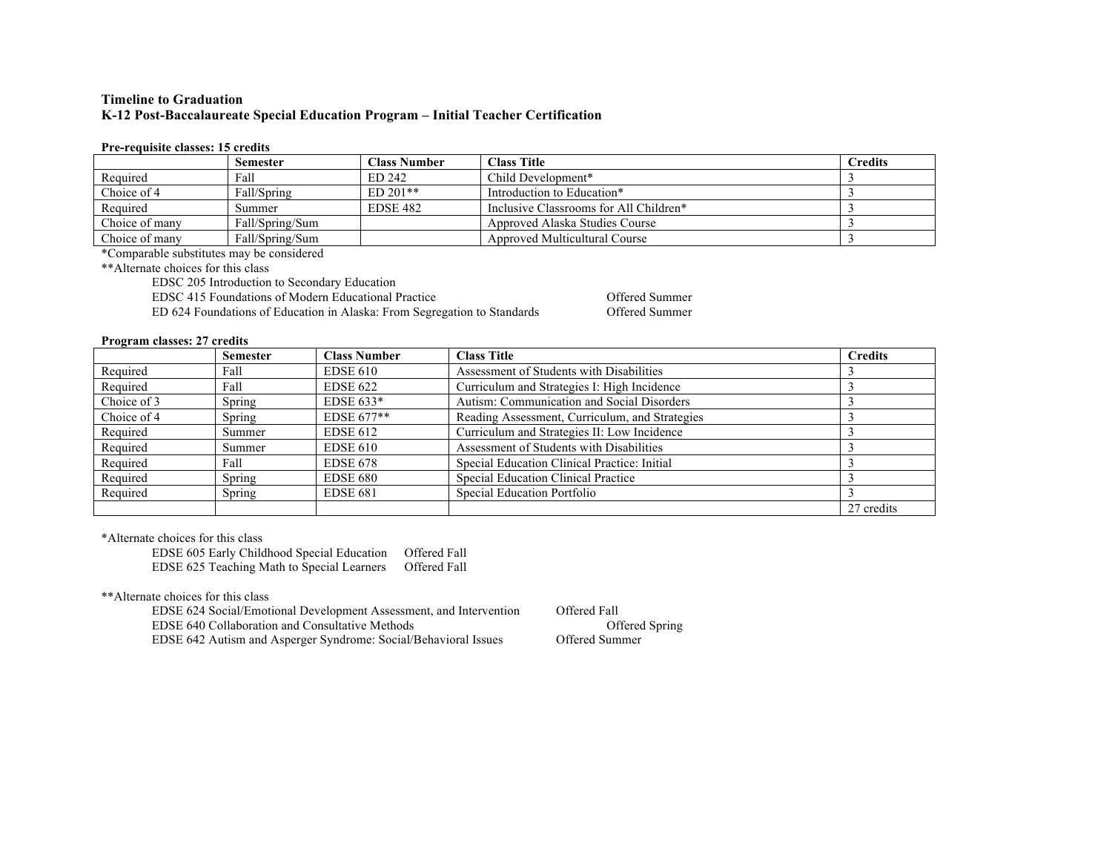# **Timeline to Graduation K-12 Post-Baccalaureate Special Education Program – Initial Teacher Certification**

### **Pre-requisite classes: 15 credits**

|                | <b>Semester</b> | Class Number    | <b>Class Title</b>                     | <b>Credits</b> |
|----------------|-----------------|-----------------|----------------------------------------|----------------|
| Required       | Fall            | ED 242          | Child Development*                     |                |
| Choice of 4    | Fall/Spring     | $ED 201**$      | Introduction to Education*             |                |
| Required       | Summer          | <b>EDSE 482</b> | Inclusive Classrooms for All Children* |                |
| Choice of many | Fall/Spring/Sum |                 | Approved Alaska Studies Course         |                |
| Choice of many | Fall/Spring/Sum |                 | Approved Multicultural Course          |                |

\*Comparable substitutes may be considered

\*\*Alternate choices for this class

EDSC 205 Introduction to Secondary Education

EDSC 415 Foundations of Modern Educational Practice **Conservations** Offered Summer

ED 624 Foundations of Education in Alaska: From Segregation to Standards Offered Summer

### **Program classes: 27 credits**

|             | <b>Semester</b> | <b>Class Number</b> | <b>Class Title</b>                             | <b>Credits</b> |
|-------------|-----------------|---------------------|------------------------------------------------|----------------|
| Required    | Fall            | <b>EDSE 610</b>     | Assessment of Students with Disabilities       |                |
| Required    | Fall            | <b>EDSE 622</b>     | Curriculum and Strategies I: High Incidence    |                |
| Choice of 3 | Spring          | EDSE $633*$         | Autism: Communication and Social Disorders     |                |
| Choice of 4 | Spring          | $EDSE 677**$        | Reading Assessment, Curriculum, and Strategies |                |
| Required    | Summer          | <b>EDSE 612</b>     | Curriculum and Strategies II: Low Incidence    |                |
| Required    | Summer          | <b>EDSE 610</b>     | Assessment of Students with Disabilities       |                |
| Required    | Fall            | <b>EDSE 678</b>     | Special Education Clinical Practice: Initial   |                |
| Required    | Spring          | <b>EDSE 680</b>     | Special Education Clinical Practice            |                |
| Required    | Spring          | <b>EDSE 681</b>     | Special Education Portfolio                    |                |
|             |                 |                     |                                                | 27 credits     |

\*Alternate choices for this class

EDSE 605 Early Childhood Special Education Offered Fall EDSE 625 Teaching Math to Special Learners Offered Fall

\*\*Alternate choices for this class

EDSE 624 Social/Emotional Development Assessment, and Intervention Offered Fall EDSE 640 Collaboration and Consultative Methods **Offered Spring** Offered Spring EDSE 642 Autism and Asperger Syndrome: Social/Behavioral Issues Offered Summer